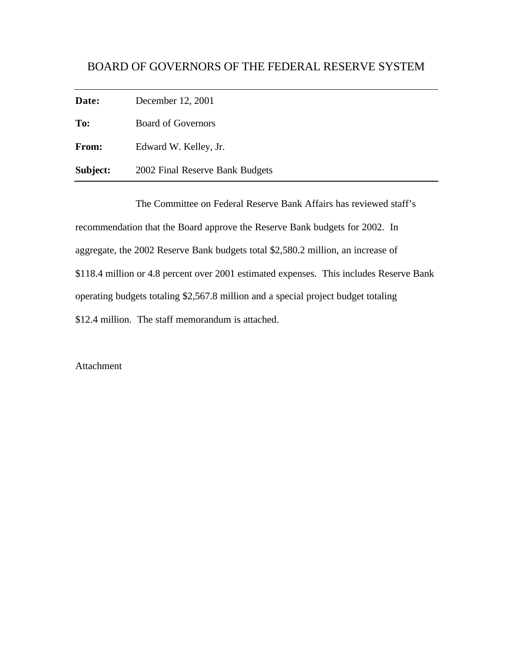## BOARD OF GOVERNORS OF THE FEDERAL RESERVE SYSTEM

**Date:** December 12, 2001

**To:** Board of Governors

**From:** Edward W. Kelley, Jr.

**Subject:** 2002 Final Reserve Bank Budgets

The Committee on Federal Reserve Bank Affairs has reviewed staff's recommendation that the Board approve the Reserve Bank budgets for 2002. In aggregate, the 2002 Reserve Bank budgets total \$2,580.2 million, an increase of \$118.4 million or 4.8 percent over 2001 estimated expenses. This includes Reserve Bank operating budgets totaling \$2,567.8 million and a special project budget totaling \$12.4 million. The staff memorandum is attached.

Attachment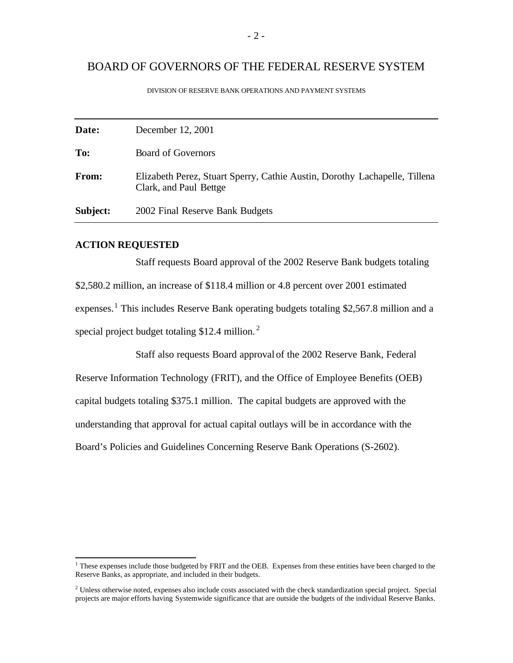## BOARD OF GOVERNORS OF THE FEDERAL RESERVE SYSTEM

| Date:    | December 12, 2001                                                                                    |
|----------|------------------------------------------------------------------------------------------------------|
| To:      | <b>Board of Governors</b>                                                                            |
| From:    | Elizabeth Perez, Stuart Sperry, Cathie Austin, Dorothy Lachapelle, Tillena<br>Clark, and Paul Bettge |
| Subject: | 2002 Final Reserve Bank Budgets                                                                      |

DIVISION OF RESERVE BANK OPERATIONS AND PAYMENT SYSTEMS

### **ACTION REQUESTED**

Staff requests Board approval of the 2002 Reserve Bank budgets totaling \$2,580.2 million, an increase of \$118.4 million or 4.8 percent over 2001 estimated expenses.<sup>1</sup> This includes Reserve Bank operating budgets totaling \$2,567.8 million and a special project budget totaling \$12.4 million. $<sup>2</sup>$ </sup>

Staff also requests Board approval of the 2002 Reserve Bank, Federal Reserve Information Technology (FRIT), and the Office of Employee Benefits (OEB) capital budgets totaling \$375.1 million. The capital budgets are approved with the understanding that approval for actual capital outlays will be in accordance with the Board's Policies and Guidelines Concerning Reserve Bank Operations (S-2602).

<sup>&</sup>lt;sup>1</sup> These expenses include those budgeted by FRIT and the OEB. Expenses from these entities have been charged to the Reserve Banks, as appropriate, and included in their budgets.

<sup>&</sup>lt;sup>2</sup> Unless otherwise noted, expenses also include costs associated with the check standardization special project. Special projects are major efforts having Systemwide significance that are outside the budgets of the individual Reserve Banks.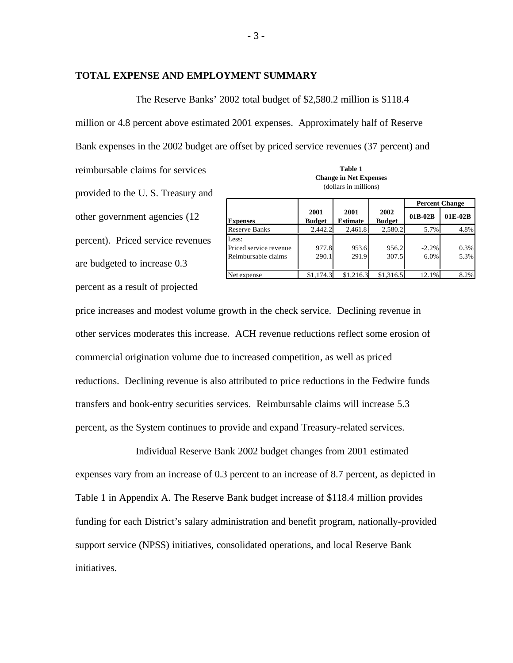### **TOTAL EXPENSE AND EMPLOYMENT SUMMARY**

The Reserve Banks' 2002 total budget of \$2,580.2 million is \$118.4

million or 4.8 percent above estimated 2001 expenses. Approximately half of Reserve

Bank expenses in the 2002 budget are offset by priced service revenues (37 percent) and

reimbursable claims for services **Table 1**  provided to the U. S. Treasury and other government agencies (12 percent). Priced service revenues are budgeted to increase 0.3 percent as a result of projected

|                                                        |                       |                         |                       | <b>Percent Change</b> |              |
|--------------------------------------------------------|-----------------------|-------------------------|-----------------------|-----------------------|--------------|
| <b>Expenses</b>                                        | 2001<br><b>Budget</b> | 2001<br><b>Estimate</b> | 2002<br><b>Budget</b> | 01B-02B               | 01E-02B      |
| <b>Reserve Banks</b>                                   | 2,442.2               | 2,461.8                 | 2,580.2               | 5.7%                  | 4.8%         |
| Less:<br>Priced service revenue<br>Reimbursable claims | 977.8<br>290.1        | 953.6<br>291.9          | 956.2<br>307.5        | $-2.2%$<br>6.0%       | 0.3%<br>5.3% |
| Net expense                                            | \$1,174.3             | \$1,216.3               | \$1,316.5             | 12.1%                 | 8.2%         |

**Change in Net Expenses**  (dollars in millions)

price increases and modest volume growth in the check service. Declining revenue in other services moderates this increase. ACH revenue reductions reflect some erosion of commercial origination volume due to increased competition, as well as priced reductions. Declining revenue is also attributed to price reductions in the Fedwire funds transfers and book-entry securities services. Reimbursable claims will increase 5.3 percent, as the System continues to provide and expand Treasury-related services.

Individual Reserve Bank 2002 budget changes from 2001 estimated expenses vary from an increase of 0.3 percent to an increase of 8.7 percent, as depicted in Table 1 in Appendix A. The Reserve Bank budget increase of \$118.4 million provides funding for each District's salary administration and benefit program, nationally-provided support service (NPSS) initiatives, consolidated operations, and local Reserve Bank initiatives.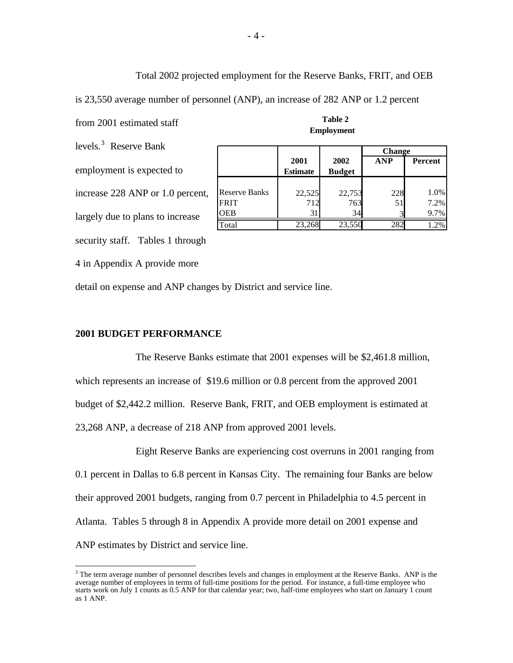Total 2002 projected employment for the Reserve Banks, FRIT, and OEB

is 23,550 average number of personnel (ANP), an increase of 282 ANP or 1.2 percent

from 2001 estimated staff **Table 2** 

levels.3 Reserve Bank employment is expected to increase 228 ANP or 1.0 percent,

security staff. Tables 1 through

largely due to plans to increase

4 in Appendix A provide more

detail on expense and ANP changes by District and service line.

#### **2001 BUDGET PERFORMANCE**

The Reserve Banks estimate that 2001 expenses will be \$2,461.8 million, which represents an increase of \$19.6 million or 0.8 percent from the approved 2001 budget of \$2,442.2 million. Reserve Bank, FRIT, and OEB employment is estimated at 23,268 ANP, a decrease of 218 ANP from approved 2001 levels.

Eight Reserve Banks are experiencing cost overruns in 2001 ranging from 0.1 percent in Dallas to 6.8 percent in Kansas City. The remaining four Banks are below their approved 2001 budgets, ranging from 0.7 percent in Philadelphia to 4.5 percent in Atlanta. Tables 5 through 8 in Appendix A provide more detail on 2001 expense and ANP estimates by District and service line.

|                      |                 |               | <b>Change</b> |                |
|----------------------|-----------------|---------------|---------------|----------------|
|                      | 2001            | 2002          | <b>ANP</b>    | <b>Percent</b> |
|                      | <b>Estimate</b> | <b>Budget</b> |               |                |
|                      |                 |               |               |                |
| <b>Reserve Banks</b> | 22,525          | 22,753        | 228           | 1.0%           |
| <b>FRIT</b>          | 712             | 763           | 51            | 7.2%           |
| <b>OEB</b>           | 31              | 34            |               | 9.7%           |
| Total                | 23,268          | 23,550        | 282           | 1.2%           |

**Employment** 

<sup>&</sup>lt;sup>3</sup> The term average number of personnel describes levels and changes in employment at the Reserve Banks. ANP is the average number of employees in terms of full-time positions for the period. For instance, a full-time employee who starts work on July 1 counts as 0.5 ANP for that calendar year; two, half-time employees who start on January 1 count as 1 ANP.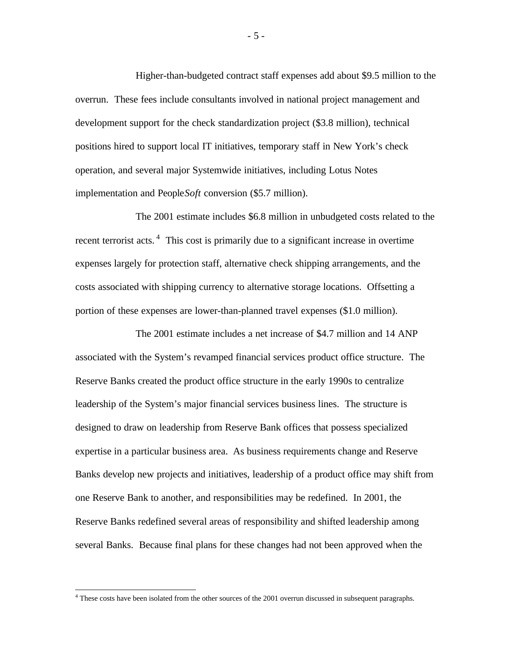Higher-than-budgeted contract staff expenses add about \$9.5 million to the overrun. These fees include consultants involved in national project management and development support for the check standardization project (\$3.8 million), technical positions hired to support local IT initiatives, temporary staff in New York's check operation, and several major Systemwide initiatives, including Lotus Notes implementation and People*Soft* conversion (\$5.7 million).

The 2001 estimate includes \$6.8 million in unbudgeted costs related to the recent terrorist acts. 4 This cost is primarily due to a significant increase in overtime expenses largely for protection staff, alternative check shipping arrangements, and the costs associated with shipping currency to alternative storage locations. Offsetting a portion of these expenses are lower-than-planned travel expenses (\$1.0 million).

The 2001 estimate includes a net increase of \$4.7 million and 14 ANP associated with the System's revamped financial services product office structure. The Reserve Banks created the product office structure in the early 1990s to centralize leadership of the System's major financial services business lines. The structure is designed to draw on leadership from Reserve Bank offices that possess specialized expertise in a particular business area. As business requirements change and Reserve Banks develop new projects and initiatives, leadership of a product office may shift from one Reserve Bank to another, and responsibilities may be redefined. In 2001, the Reserve Banks redefined several areas of responsibility and shifted leadership among several Banks. Because final plans for these changes had not been approved when the

<sup>&</sup>lt;sup>4</sup> These costs have been isolated from the other sources of the 2001 overrun discussed in subsequent paragraphs.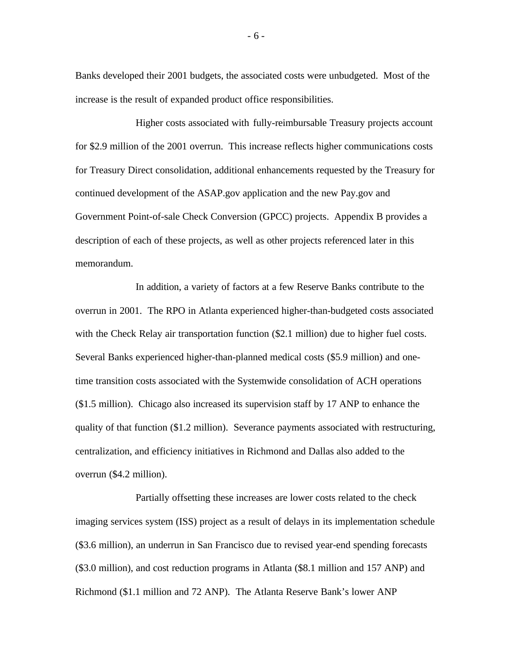Banks developed their 2001 budgets, the associated costs were unbudgeted. Most of the increase is the result of expanded product office responsibilities.

Higher costs associated with fully-reimbursable Treasury projects account for \$2.9 million of the 2001 overrun. This increase reflects higher communications costs for Treasury Direct consolidation, additional enhancements requested by the Treasury for continued development of the ASAP.gov application and the new Pay.gov and Government Point-of-sale Check Conversion (GPCC) projects. Appendix B provides a description of each of these projects, as well as other projects referenced later in this memorandum.

In addition, a variety of factors at a few Reserve Banks contribute to the overrun in 2001. The RPO in Atlanta experienced higher-than-budgeted costs associated with the Check Relay air transportation function (\$2.1 million) due to higher fuel costs. Several Banks experienced higher-than-planned medical costs (\$5.9 million) and onetime transition costs associated with the Systemwide consolidation of ACH operations (\$1.5 million). Chicago also increased its supervision staff by 17 ANP to enhance the quality of that function (\$1.2 million). Severance payments associated with restructuring, centralization, and efficiency initiatives in Richmond and Dallas also added to the overrun (\$4.2 million).

Partially offsetting these increases are lower costs related to the check imaging services system (ISS) project as a result of delays in its implementation schedule (\$3.6 million), an underrun in San Francisco due to revised year-end spending forecasts (\$3.0 million), and cost reduction programs in Atlanta (\$8.1 million and 157 ANP) and Richmond (\$1.1 million and 72 ANP). The Atlanta Reserve Bank's lower ANP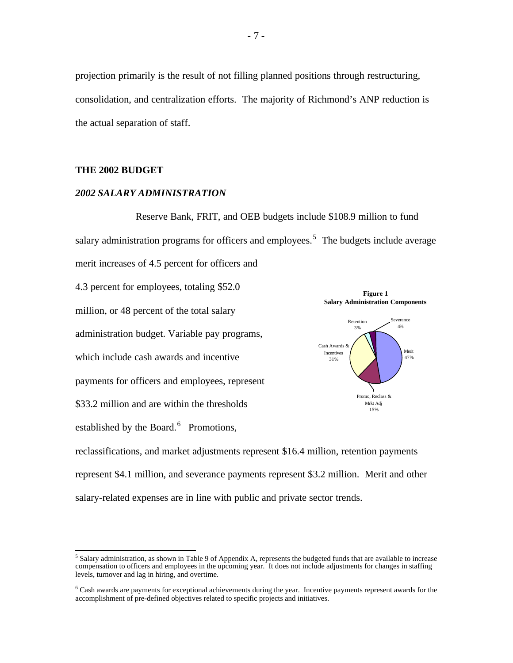projection primarily is the result of not filling planned positions through restructuring, consolidation, and centralization efforts. The majority of Richmond's ANP reduction is the actual separation of staff.

### **THE 2002 BUDGET**

## *2002 SALARY ADMINISTRATION*

Reserve Bank, FRIT, and OEB budgets include \$108.9 million to fund salary administration programs for officers and employees.<sup>5</sup> The budgets include average merit increases of 4.5 percent for officers and 4.3 percent for employees, totaling \$52.0 million, or 48 percent of the total salary administration budget. Variable pay programs, which include cash awards and incentive payments for officers and employees, represent **Figure 1 Salary Administration Components** Retention 3% 4% verance Cash Awards & Incentives  $\left(\begin{array}{ccc} & & \\ & & \end{array}\right)$  Merit 31% 47%

\$33.2 million and are within the thresholds

established by the Board.<sup>6</sup> Promotions,



reclassifications, and market adjustments represent \$16.4 million, retention payments represent \$4.1 million, and severance payments represent \$3.2 million. Merit and other salary-related expenses are in line with public and private sector trends.

<sup>&</sup>lt;sup>5</sup> Salary administration, as shown in Table 9 of Appendix A, represents the budgeted funds that are available to increase compensation to officers and employees in the upcoming year. It does not include adjustments for changes in staffing levels, turnover and lag in hiring, and overtime.

<sup>&</sup>lt;sup>6</sup> Cash awards are payments for exceptional achievements during the year. Incentive payments represent awards for the accomplishment of pre-defined objectives related to specific projects and initiatives.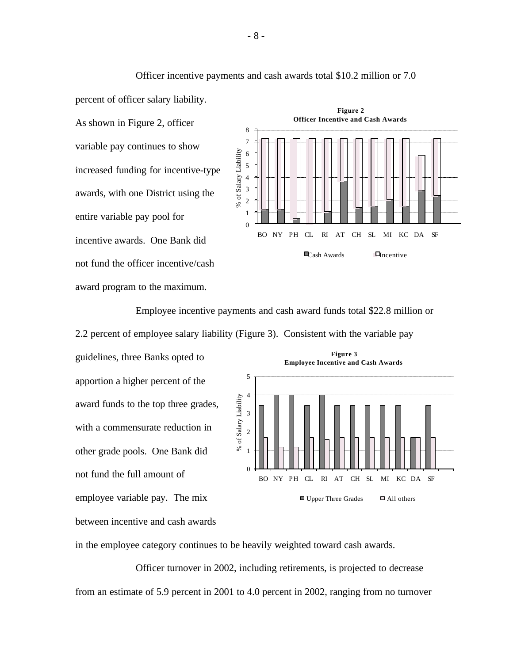Officer incentive payments and cash awards total \$10.2 million or 7.0

percent of officer salary liability.

As shown in Figure 2, officer variable pay continues to show increased funding for incentive-type awards, with one District using the entire variable pay pool for incentive awards. One Bank did not fund the officer incentive/cash award program to the maximum.



Employee incentive payments and cash award funds total \$22.8 million or 2.2 percent of employee salary liability (Figure 3). Consistent with the variable pay

guidelines, three Banks opted to apportion a higher percent of the award funds to the top three grades, with a commensurate reduction in other grade pools. One Bank did not fund the full amount of employee variable pay. The mix between incentive and cash awards



in the employee category continues to be heavily weighted toward cash awards.

Officer turnover in 2002, including retirements, is projected to decrease from an estimate of 5.9 percent in 2001 to 4.0 percent in 2002, ranging from no turnover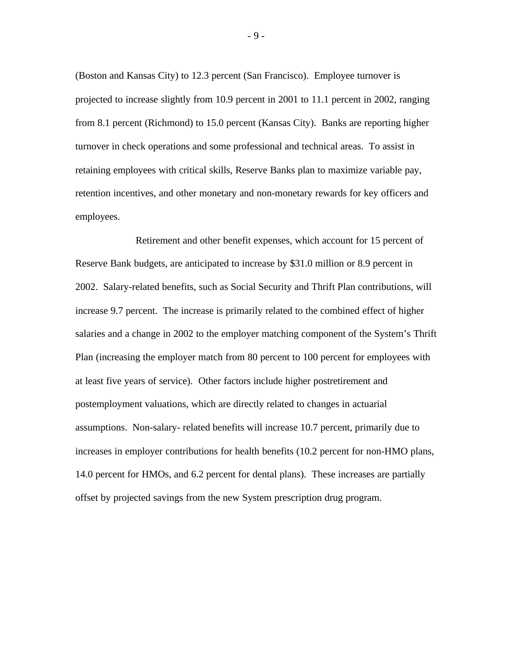(Boston and Kansas City) to 12.3 percent (San Francisco). Employee turnover is projected to increase slightly from 10.9 percent in 2001 to 11.1 percent in 2002, ranging from 8.1 percent (Richmond) to 15.0 percent (Kansas City). Banks are reporting higher turnover in check operations and some professional and technical areas. To assist in retaining employees with critical skills, Reserve Banks plan to maximize variable pay, retention incentives, and other monetary and non-monetary rewards for key officers and employees.

Retirement and other benefit expenses, which account for 15 percent of Reserve Bank budgets, are anticipated to increase by \$31.0 million or 8.9 percent in 2002. Salary-related benefits, such as Social Security and Thrift Plan contributions, will increase 9.7 percent. The increase is primarily related to the combined effect of higher salaries and a change in 2002 to the employer matching component of the System's Thrift Plan (increasing the employer match from 80 percent to 100 percent for employees with at least five years of service). Other factors include higher postretirement and postemployment valuations, which are directly related to changes in actuarial assumptions. Non-salary- related benefits will increase 10.7 percent, primarily due to increases in employer contributions for health benefits (10.2 percent for non-HMO plans, 14.0 percent for HMOs, and 6.2 percent for dental plans). These increases are partially offset by projected savings from the new System prescription drug program.

- 9 -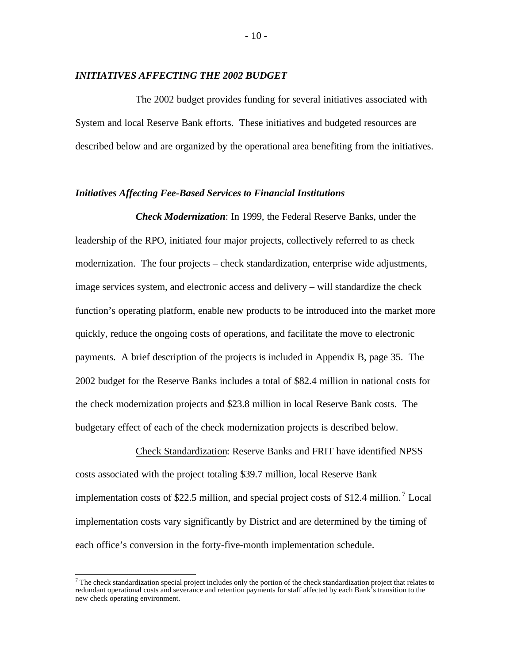#### *INITIATIVES AFFECTING THE 2002 BUDGET*

The 2002 budget provides funding for several initiatives associated with System and local Reserve Bank efforts. These initiatives and budgeted resources are described below and are organized by the operational area benefiting from the initiatives.

### *Initiatives Affecting Fee-Based Services to Financial Institutions*

*Check Modernization*: In 1999, the Federal Reserve Banks, under the leadership of the RPO, initiated four major projects, collectively referred to as check modernization. The four projects – check standardization, enterprise wide adjustments, image services system, and electronic access and delivery – will standardize the check function's operating platform, enable new products to be introduced into the market more quickly, reduce the ongoing costs of operations, and facilitate the move to electronic payments. A brief description of the projects is included in Appendix B, page 35. The 2002 budget for the Reserve Banks includes a total of \$82.4 million in national costs for the check modernization projects and \$23.8 million in local Reserve Bank costs. The budgetary effect of each of the check modernization projects is described below.

Check Standardization: Reserve Banks and FRIT have identified NPSS costs associated with the project totaling \$39.7 million, local Reserve Bank implementation costs of \$22.5 million, and special project costs of \$12.4 million.<sup>7</sup> Local implementation costs vary significantly by District and are determined by the timing of each office's conversion in the forty-five-month implementation schedule.

 $^7$  The check standardization special project includes only the portion of the check standardization project that relates to redundant operational costs and severance and retention payments for staff affected by each Bank's transition to the new check operating environment.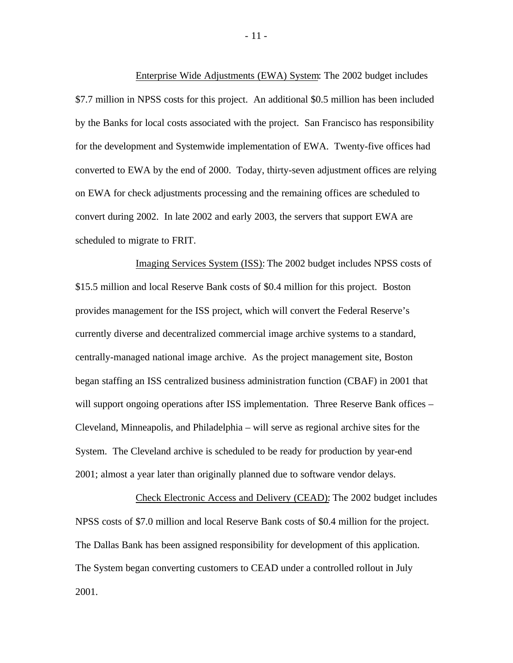Enterprise Wide Adjustments (EWA) System: The 2002 budget includes \$7.7 million in NPSS costs for this project. An additional \$0.5 million has been included by the Banks for local costs associated with the project. San Francisco has responsibility for the development and Systemwide implementation of EWA. Twenty-five offices had converted to EWA by the end of 2000. Today, thirty-seven adjustment offices are relying on EWA for check adjustments processing and the remaining offices are scheduled to convert during 2002. In late 2002 and early 2003, the servers that support EWA are scheduled to migrate to FRIT.

Imaging Services System (ISS): The 2002 budget includes NPSS costs of \$15.5 million and local Reserve Bank costs of \$0.4 million for this project. Boston provides management for the ISS project, which will convert the Federal Reserve's currently diverse and decentralized commercial image archive systems to a standard, centrally-managed national image archive. As the project management site, Boston began staffing an ISS centralized business administration function (CBAF) in 2001 that will support ongoing operations after ISS implementation. Three Reserve Bank offices – Cleveland, Minneapolis, and Philadelphia – will serve as regional archive sites for the System. The Cleveland archive is scheduled to be ready for production by year-end 2001; almost a year later than originally planned due to software vendor delays.

Check Electronic Access and Delivery (CEAD): The 2002 budget includes NPSS costs of \$7.0 million and local Reserve Bank costs of \$0.4 million for the project. The Dallas Bank has been assigned responsibility for development of this application. The System began converting customers to CEAD under a controlled rollout in July 2001.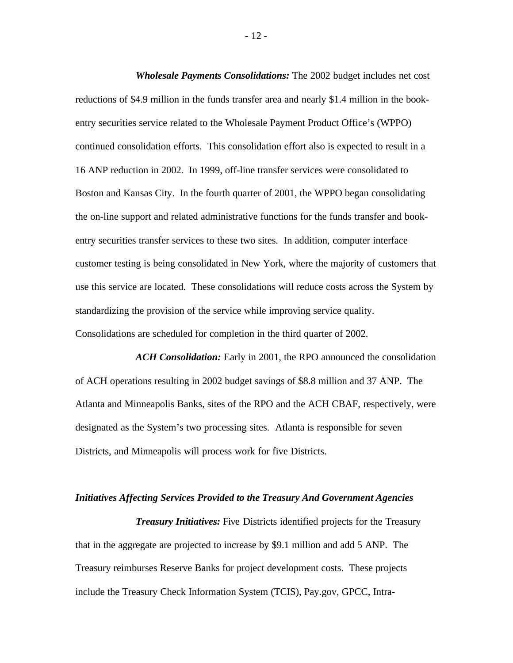*Wholesale Payments Consolidations:* The 2002 budget includes net cost reductions of \$4.9 million in the funds transfer area and nearly \$1.4 million in the bookentry securities service related to the Wholesale Payment Product Office's (WPPO) continued consolidation efforts. This consolidation effort also is expected to result in a 16 ANP reduction in 2002. In 1999, off-line transfer services were consolidated to Boston and Kansas City. In the fourth quarter of 2001, the WPPO began consolidating the on-line support and related administrative functions for the funds transfer and bookentry securities transfer services to these two sites. In addition, computer interface customer testing is being consolidated in New York, where the majority of customers that use this service are located. These consolidations will reduce costs across the System by standardizing the provision of the service while improving service quality. Consolidations are scheduled for completion in the third quarter of 2002.

*ACH Consolidation:* Early in 2001, the RPO announced the consolidation of ACH operations resulting in 2002 budget savings of \$8.8 million and 37 ANP. The Atlanta and Minneapolis Banks, sites of the RPO and the ACH CBAF, respectively, were designated as the System's two processing sites. Atlanta is responsible for seven Districts, and Minneapolis will process work for five Districts.

#### *Initiatives Affecting Services Provided to the Treasury And Government Agencies*

*Treasury Initiatives:* Five Districts identified projects for the Treasury that in the aggregate are projected to increase by \$9.1 million and add 5 ANP. The Treasury reimburses Reserve Banks for project development costs. These projects include the Treasury Check Information System (TCIS), Pay.gov, GPCC, Intra-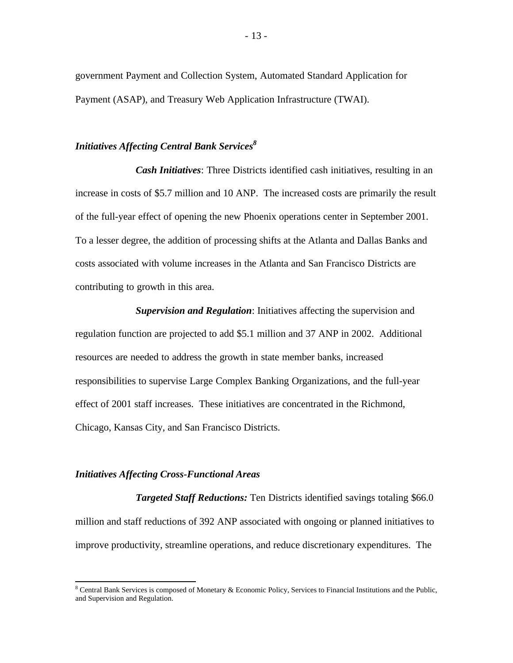government Payment and Collection System, Automated Standard Application for Payment (ASAP), and Treasury Web Application Infrastructure (TWAI).

## *Initiatives Affecting Central Bank Services<sup>8</sup>*

*Cash Initiatives*: Three Districts identified cash initiatives, resulting in an increase in costs of \$5.7 million and 10 ANP. The increased costs are primarily the result of the full-year effect of opening the new Phoenix operations center in September 2001. To a lesser degree, the addition of processing shifts at the Atlanta and Dallas Banks and costs associated with volume increases in the Atlanta and San Francisco Districts are contributing to growth in this area.

*Supervision and Regulation*: Initiatives affecting the supervision and regulation function are projected to add \$5.1 million and 37 ANP in 2002. Additional resources are needed to address the growth in state member banks, increased responsibilities to supervise Large Complex Banking Organizations, and the full-year effect of 2001 staff increases. These initiatives are concentrated in the Richmond, Chicago, Kansas City, and San Francisco Districts.

### *Initiatives Affecting Cross-Functional Areas*

*Targeted Staff Reductions:* Ten Districts identified savings totaling \$66.0 million and staff reductions of 392 ANP associated with ongoing or planned initiatives to improve productivity, streamline operations, and reduce discretionary expenditures. The

<sup>&</sup>lt;sup>8</sup> Central Bank Services is composed of Monetary & Economic Policy, Services to Financial Institutions and the Public, and Supervision and Regulation.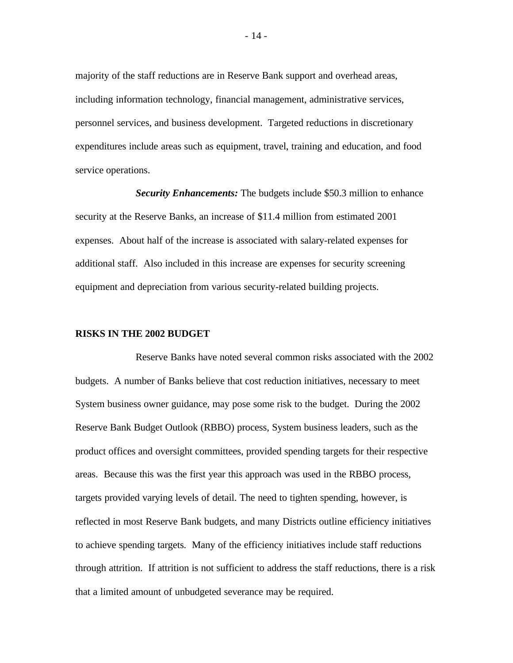majority of the staff reductions are in Reserve Bank support and overhead areas, including information technology, financial management, administrative services, personnel services, and business development. Targeted reductions in discretionary expenditures include areas such as equipment, travel, training and education, and food service operations.

*Security Enhancements:* The budgets include \$50.3 million to enhance security at the Reserve Banks, an increase of \$11.4 million from estimated 2001 expenses. About half of the increase is associated with salary-related expenses for additional staff. Also included in this increase are expenses for security screening equipment and depreciation from various security-related building projects.

#### **RISKS IN THE 2002 BUDGET**

Reserve Banks have noted several common risks associated with the 2002 budgets. A number of Banks believe that cost reduction initiatives, necessary to meet System business owner guidance, may pose some risk to the budget. During the 2002 Reserve Bank Budget Outlook (RBBO) process, System business leaders, such as the product offices and oversight committees, provided spending targets for their respective areas. Because this was the first year this approach was used in the RBBO process, targets provided varying levels of detail. The need to tighten spending, however, is reflected in most Reserve Bank budgets, and many Districts outline efficiency initiatives to achieve spending targets. Many of the efficiency initiatives include staff reductions through attrition. If attrition is not sufficient to address the staff reductions, there is a risk that a limited amount of unbudgeted severance may be required.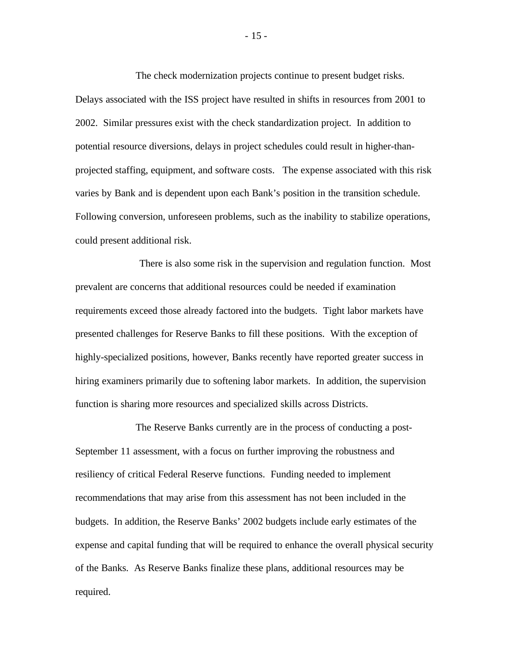The check modernization projects continue to present budget risks. Delays associated with the ISS project have resulted in shifts in resources from 2001 to 2002. Similar pressures exist with the check standardization project. In addition to potential resource diversions, delays in project schedules could result in higher-thanprojected staffing, equipment, and software costs. The expense associated with this risk varies by Bank and is dependent upon each Bank's position in the transition schedule. Following conversion, unforeseen problems, such as the inability to stabilize operations, could present additional risk.

There is also some risk in the supervision and regulation function. Most prevalent are concerns that additional resources could be needed if examination requirements exceed those already factored into the budgets. Tight labor markets have presented challenges for Reserve Banks to fill these positions. With the exception of highly-specialized positions, however, Banks recently have reported greater success in hiring examiners primarily due to softening labor markets. In addition, the supervision function is sharing more resources and specialized skills across Districts.

The Reserve Banks currently are in the process of conducting a post-September 11 assessment, with a focus on further improving the robustness and resiliency of critical Federal Reserve functions. Funding needed to implement recommendations that may arise from this assessment has not been included in the budgets. In addition, the Reserve Banks' 2002 budgets include early estimates of the expense and capital funding that will be required to enhance the overall physical security of the Banks. As Reserve Banks finalize these plans, additional resources may be required.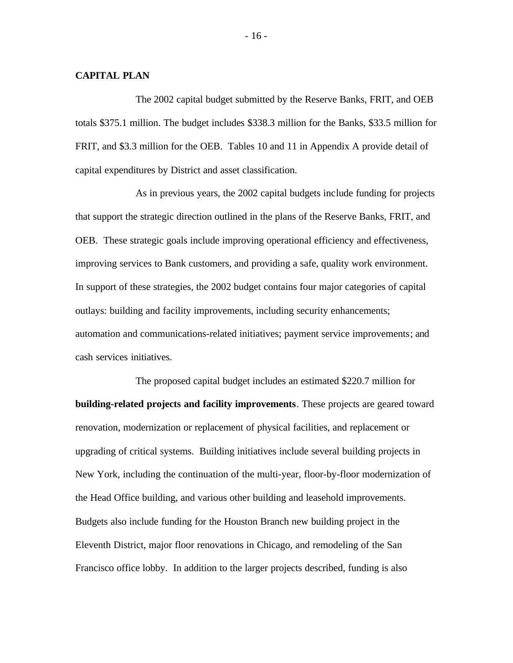### **CAPITAL PLAN**

The 2002 capital budget submitted by the Reserve Banks, FRIT, and OEB totals \$375.1 million. The budget includes \$338.3 million for the Banks, \$33.5 million for FRIT, and \$3.3 million for the OEB. Tables 10 and 11 in Appendix A provide detail of capital expenditures by District and asset classification.

As in previous years, the 2002 capital budgets include funding for projects that support the strategic direction outlined in the plans of the Reserve Banks, FRIT, and OEB. These strategic goals include improving operational efficiency and effectiveness, improving services to Bank customers, and providing a safe, quality work environment. In support of these strategies, the 2002 budget contains four major categories of capital outlays: building and facility improvements, including security enhancements; automation and communications-related initiatives; payment service improvements; and cash services initiatives.

The proposed capital budget includes an estimated \$220.7 million for **building-related projects and facility improvements**. These projects are geared toward renovation, modernization or replacement of physical facilities, and replacement or upgrading of critical systems. Building initiatives include several building projects in New York, including the continuation of the multi-year, floor-by-floor modernization of the Head Office building, and various other building and leasehold improvements. Budgets also include funding for the Houston Branch new building project in the Eleventh District, major floor renovations in Chicago, and remodeling of the San Francisco office lobby. In addition to the larger projects described, funding is also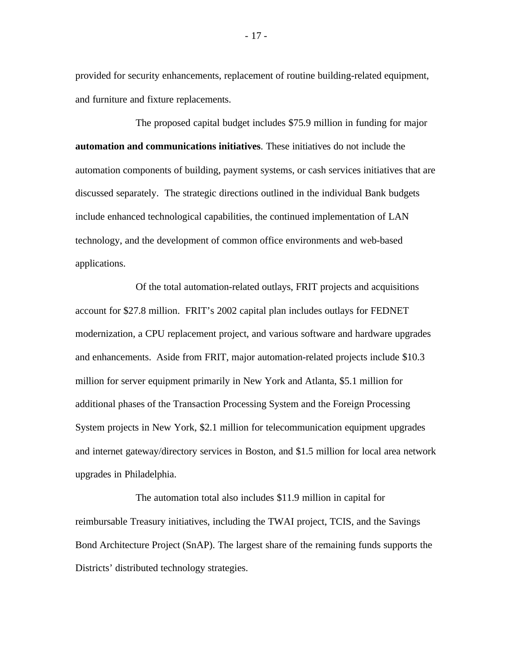provided for security enhancements, replacement of routine building-related equipment, and furniture and fixture replacements.

The proposed capital budget includes \$75.9 million in funding for major **automation and communications initiatives**. These initiatives do not include the automation components of building, payment systems, or cash services initiatives that are discussed separately. The strategic directions outlined in the individual Bank budgets include enhanced technological capabilities, the continued implementation of LAN technology, and the development of common office environments and web-based applications.

Of the total automation-related outlays, FRIT projects and acquisitions account for \$27.8 million. FRIT's 2002 capital plan includes outlays for FEDNET modernization, a CPU replacement project, and various software and hardware upgrades and enhancements. Aside from FRIT, major automation-related projects include \$10.3 million for server equipment primarily in New York and Atlanta, \$5.1 million for additional phases of the Transaction Processing System and the Foreign Processing System projects in New York, \$2.1 million for telecommunication equipment upgrades and internet gateway/directory services in Boston, and \$1.5 million for local area network upgrades in Philadelphia.

The automation total also includes \$11.9 million in capital for reimbursable Treasury initiatives, including the TWAI project, TCIS, and the Savings Bond Architecture Project (SnAP). The largest share of the remaining funds supports the Districts' distributed technology strategies.

- 17 -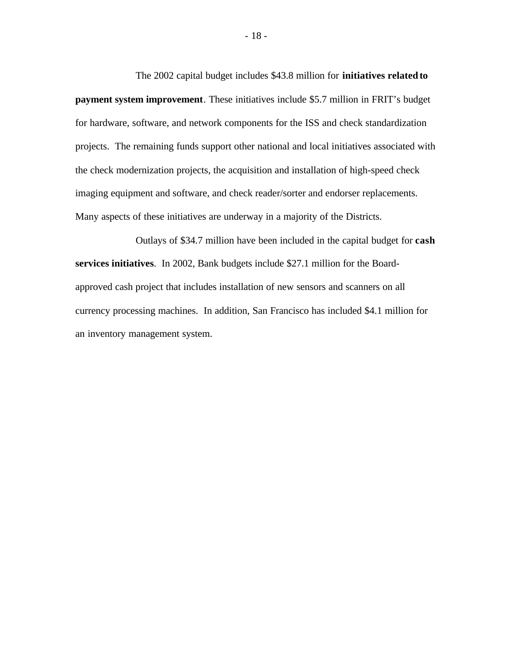The 2002 capital budget includes \$43.8 million for **initiatives related to payment system improvement**. These initiatives include \$5.7 million in FRIT's budget for hardware, software, and network components for the ISS and check standardization projects. The remaining funds support other national and local initiatives associated with the check modernization projects, the acquisition and installation of high-speed check imaging equipment and software, and check reader/sorter and endorser replacements. Many aspects of these initiatives are underway in a majority of the Districts.

Outlays of \$34.7 million have been included in the capital budget for **cash services initiatives**. In 2002, Bank budgets include \$27.1 million for the Boardapproved cash project that includes installation of new sensors and scanners on all currency processing machines. In addition, San Francisco has included \$4.1 million for an inventory management system.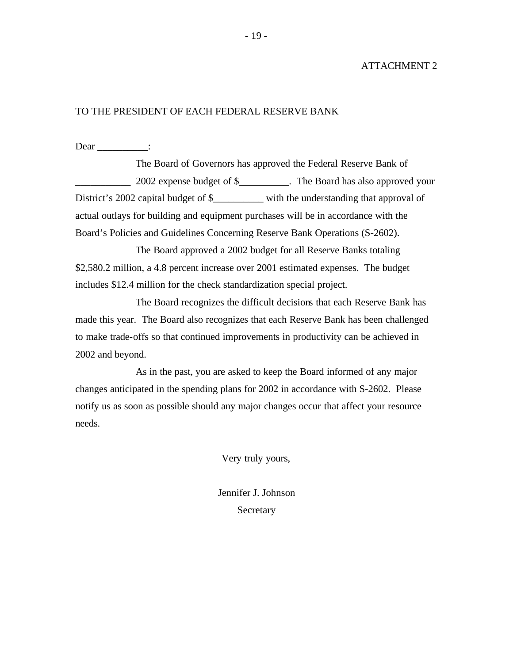### ATTACHMENT 2

### TO THE PRESIDENT OF EACH FEDERAL RESERVE BANK

Dear \_\_\_\_\_\_\_\_\_:

The Board of Governors has approved the Federal Reserve Bank of \_\_\_\_\_\_\_\_\_\_\_ 2002 expense budget of \$\_\_\_\_\_\_\_\_\_\_. The Board has also approved your District's 2002 capital budget of \$\_\_\_\_\_\_\_\_\_ with the understanding that approval of actual outlays for building and equipment purchases will be in accordance with the Board's Policies and Guidelines Concerning Reserve Bank Operations (S-2602).

The Board approved a 2002 budget for all Reserve Banks totaling \$2,580.2 million, a 4.8 percent increase over 2001 estimated expenses. The budget includes \$12.4 million for the check standardization special project.

The Board recognizes the difficult decisions that each Reserve Bank has made this year. The Board also recognizes that each Reserve Bank has been challenged to make trade-offs so that continued improvements in productivity can be achieved in 2002 and beyond.

As in the past, you are asked to keep the Board informed of any major changes anticipated in the spending plans for 2002 in accordance with S-2602. Please notify us as soon as possible should any major changes occur that affect your resource needs.

Very truly yours,

Jennifer J. Johnson Secretary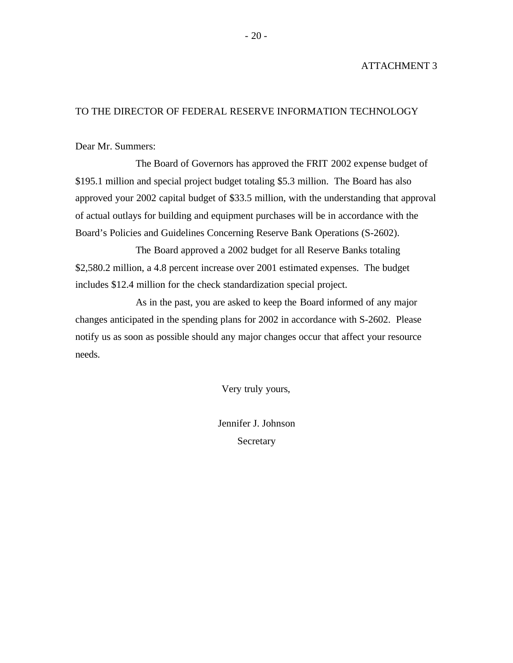### ATTACHMENT 3

## TO THE DIRECTOR OF FEDERAL RESERVE INFORMATION TECHNOLOGY

Dear Mr. Summers:

The Board of Governors has approved the FRIT 2002 expense budget of \$195.1 million and special project budget totaling \$5.3 million. The Board has also approved your 2002 capital budget of \$33.5 million, with the understanding that approval of actual outlays for building and equipment purchases will be in accordance with the Board's Policies and Guidelines Concerning Reserve Bank Operations (S-2602).

The Board approved a 2002 budget for all Reserve Banks totaling \$2,580.2 million, a 4.8 percent increase over 2001 estimated expenses. The budget includes \$12.4 million for the check standardization special project.

As in the past, you are asked to keep the Board informed of any major changes anticipated in the spending plans for 2002 in accordance with S-2602. Please notify us as soon as possible should any major changes occur that affect your resource needs.

Very truly yours,

Jennifer J. Johnson Secretary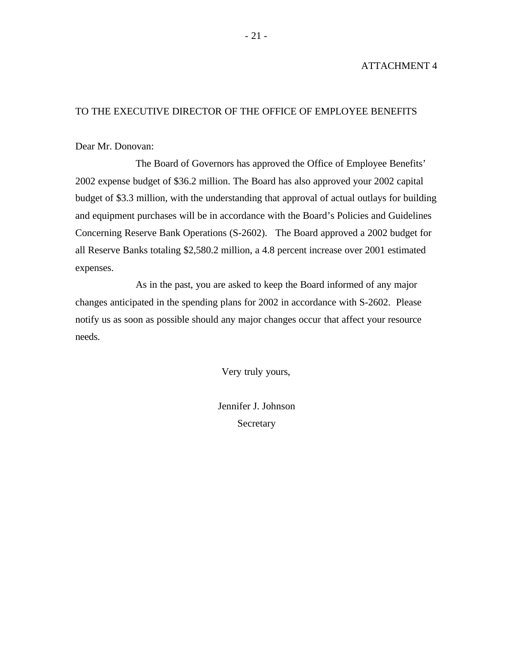### ATTACHMENT 4

## TO THE EXECUTIVE DIRECTOR OF THE OFFICE OF EMPLOYEE BENEFITS

Dear Mr. Donovan:

The Board of Governors has approved the Office of Employee Benefits' 2002 expense budget of \$36.2 million. The Board has also approved your 2002 capital budget of \$3.3 million, with the understanding that approval of actual outlays for building and equipment purchases will be in accordance with the Board's Policies and Guidelines Concerning Reserve Bank Operations (S-2602). The Board approved a 2002 budget for all Reserve Banks totaling \$2,580.2 million, a 4.8 percent increase over 2001 estimated expenses.

As in the past, you are asked to keep the Board informed of any major changes anticipated in the spending plans for 2002 in accordance with S-2602. Please notify us as soon as possible should any major changes occur that affect your resource needs.

Very truly yours,

Jennifer J. Johnson Secretary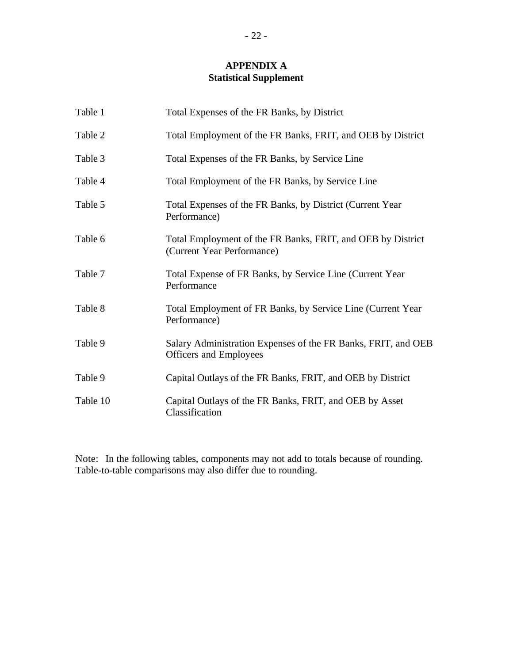## **APPENDIX A Statistical Supplement**

| Table 1  | Total Expenses of the FR Banks, by District                                                    |
|----------|------------------------------------------------------------------------------------------------|
| Table 2  | Total Employment of the FR Banks, FRIT, and OEB by District                                    |
| Table 3  | Total Expenses of the FR Banks, by Service Line                                                |
| Table 4  | Total Employment of the FR Banks, by Service Line                                              |
| Table 5  | Total Expenses of the FR Banks, by District (Current Year)<br>Performance)                     |
| Table 6  | Total Employment of the FR Banks, FRIT, and OEB by District<br>(Current Year Performance)      |
| Table 7  | Total Expense of FR Banks, by Service Line (Current Year)<br>Performance                       |
| Table 8  | Total Employment of FR Banks, by Service Line (Current Year)<br>Performance)                   |
| Table 9  | Salary Administration Expenses of the FR Banks, FRIT, and OEB<br><b>Officers and Employees</b> |
| Table 9  | Capital Outlays of the FR Banks, FRIT, and OEB by District                                     |
| Table 10 | Capital Outlays of the FR Banks, FRIT, and OEB by Asset<br>Classification                      |

Note: In the following tables, components may not add to totals because of rounding. Table-to-table comparisons may also differ due to rounding.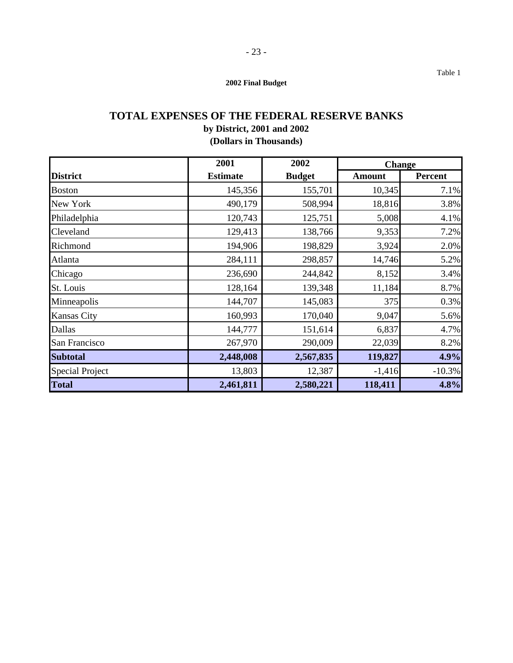## **TOTAL EXPENSES OF THE FEDERAL RESERVE BANKS by District, 2001 and 2002**

## **(Dollars in Thousands)**

|                        | 2001            | 2002          | <b>Change</b> |          |
|------------------------|-----------------|---------------|---------------|----------|
| <b>District</b>        | <b>Estimate</b> | <b>Budget</b> | <b>Amount</b> | Percent  |
| <b>Boston</b>          | 145,356         | 155,701       | 10,345        | 7.1%     |
| New York               | 490,179         | 508,994       | 18,816        | 3.8%     |
| Philadelphia           | 120,743         | 125,751       | 5,008         | 4.1%     |
| Cleveland              | 129,413         | 138,766       | 9,353         | 7.2%     |
| Richmond               | 194,906         | 198,829       | 3,924         | 2.0%     |
| Atlanta                | 284,111         | 298,857       | 14,746        | 5.2%     |
| Chicago                | 236,690         | 244,842       | 8,152         | 3.4%     |
| St. Louis              | 128,164         | 139,348       | 11,184        | 8.7%     |
| Minneapolis            | 144,707         | 145,083       | 375           | 0.3%     |
| <b>Kansas City</b>     | 160,993         | 170,040       | 9,047         | 5.6%     |
| Dallas                 | 144,777         | 151,614       | 6,837         | 4.7%     |
| San Francisco          | 267,970         | 290,009       | 22,039        | 8.2%     |
| <b>Subtotal</b>        | 2,448,008       | 2,567,835     | 119,827       | 4.9%     |
| <b>Special Project</b> | 13,803          | 12,387        | $-1,416$      | $-10.3%$ |
| <b>Total</b>           | 2,461,811       | 2,580,221     | 118,411       | 4.8%     |

Table 1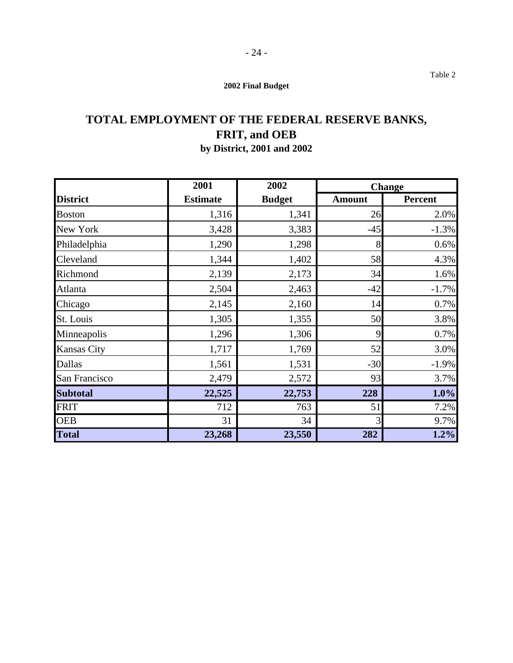- 24 -

# **TOTAL EMPLOYMENT OF THE FEDERAL RESERVE BANKS, FRIT, and OEB**

## **by District, 2001 and 2002**

|                    | 2001            | 2002          | <b>Change</b> |          |
|--------------------|-----------------|---------------|---------------|----------|
| <b>District</b>    | <b>Estimate</b> | <b>Budget</b> | <b>Amount</b> | Percent  |
| <b>Boston</b>      | 1,316           | 1,341         | 26            | 2.0%     |
| New York           | 3,428           | 3,383         | $-45$         | $-1.3%$  |
| Philadelphia       | 1,290           | 1,298         | 8             | 0.6%     |
| Cleveland          | 1,344           | 1,402         | 58            | 4.3%     |
| Richmond           | 2,139           | 2,173         | 34            | 1.6%     |
| Atlanta            | 2,504           | 2,463         | $-42$         | $-1.7\%$ |
| Chicago            | 2,145           | 2,160         | 14            | 0.7%     |
| St. Louis          | 1,305           | 1,355         | 50            | 3.8%     |
| Minneapolis        | 1,296           | 1,306         | 9             | 0.7%     |
| <b>Kansas City</b> | 1,717           | 1,769         | 52            | 3.0%     |
| Dallas             | 1,561           | 1,531         | $-30$         | $-1.9%$  |
| San Francisco      | 2,479           | 2,572         | 93            | 3.7%     |
| <b>Subtotal</b>    | 22,525          | 22,753        | 228           | 1.0%     |
| <b>FRIT</b>        | 712             | 763           | 51            | 7.2%     |
| <b>OEB</b>         | 31              | 34            | 3             | 9.7%     |
| <b>Total</b>       | 23,268          | 23,550        | 282           | 1.2%     |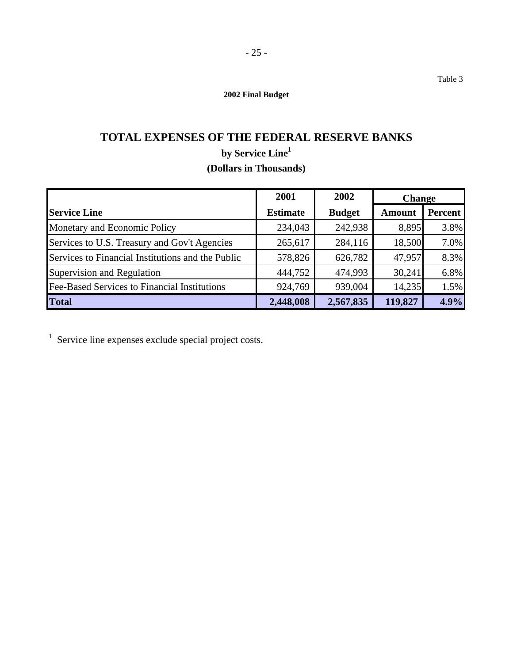## **TOTAL EXPENSES OF THE FEDERAL RESERVE BANKS by Service Line1 (Dollars in Thousands)**

|                                                   | 2001            | 2002          | <b>Change</b> |         |
|---------------------------------------------------|-----------------|---------------|---------------|---------|
| <b>Service Line</b>                               | <b>Estimate</b> | <b>Budget</b> | <b>Amount</b> | Percent |
| Monetary and Economic Policy                      | 234,043         | 242,938       | 8,895         | 3.8%    |
| Services to U.S. Treasury and Gov't Agencies      | 265,617         | 284,116       | 18,500        | 7.0%    |
| Services to Financial Institutions and the Public | 578,826         | 626,782       | 47,957        | 8.3%    |
| Supervision and Regulation                        | 444,752         | 474,993       | 30,241        | 6.8%    |
| Fee-Based Services to Financial Institutions      | 924,769         | 939,004       | 14,235        | 1.5%    |
| <b>Total</b>                                      | 2,448,008       | 2,567,835     | 119,827       | 4.9%    |

 $1$  Service line expenses exclude special project costs.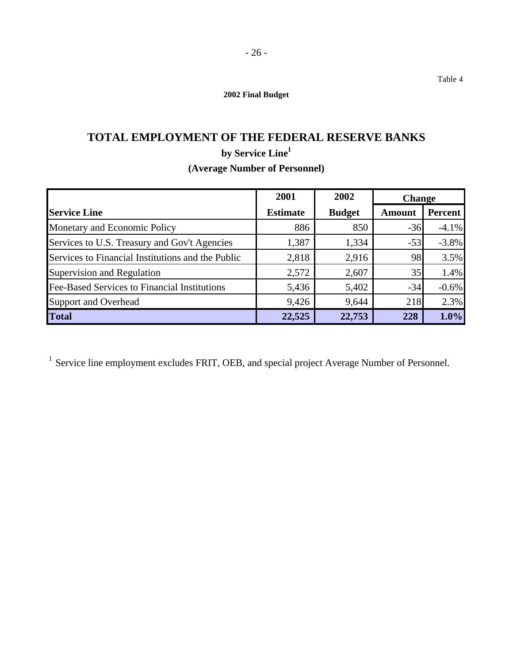## **TOTAL EMPLOYMENT OF THE FEDERAL RESERVE BANKS by Service Line1 (Average Number of Personnel)**

|                                                   | 2001            | 2002          | <b>Change</b> |                |
|---------------------------------------------------|-----------------|---------------|---------------|----------------|
| <b>Service Line</b>                               | <b>Estimate</b> | <b>Budget</b> | <b>Amount</b> | <b>Percent</b> |
| Monetary and Economic Policy                      | 886             | 850           | $-36$         | $-4.1%$        |
| Services to U.S. Treasury and Gov't Agencies      | 1,387           | 1,334         | $-53$         | $-3.8%$        |
| Services to Financial Institutions and the Public | 2,818           | 2,916         | 98            | 3.5%           |
| Supervision and Regulation                        | 2,572           | 2,607         | 35            | 1.4%           |
| Fee-Based Services to Financial Institutions      | 5,436           | 5,402         | $-34$         | $-0.6%$        |
| <b>Support and Overhead</b>                       | 9,426           | 9,644         | 218           | 2.3%           |
| <b>Total</b>                                      | 22,525          | 22,753        | 228           | 1.0%           |

<sup>1</sup> Service line employment excludes FRIT, OEB, and special project Average Number of Personnel.

Table 4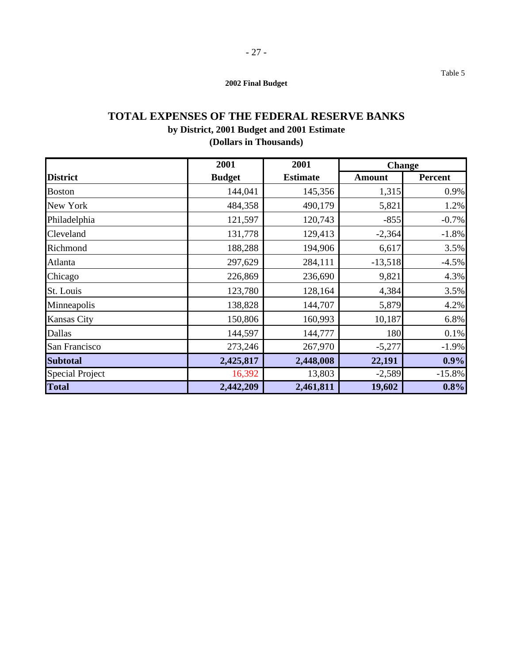## **TOTAL EXPENSES OF THE FEDERAL RESERVE BANKS by District, 2001 Budget and 2001 Estimate (Dollars in Thousands)**

|                        | 2001          | 2001            | <b>Change</b> |                |
|------------------------|---------------|-----------------|---------------|----------------|
| <b>District</b>        | <b>Budget</b> | <b>Estimate</b> | <b>Amount</b> | <b>Percent</b> |
| <b>Boston</b>          | 144,041       | 145,356         | 1,315         | 0.9%           |
| New York               | 484,358       | 490,179         | 5,821         | 1.2%           |
| Philadelphia           | 121,597       | 120,743         | $-855$        | $-0.7%$        |
| Cleveland              | 131,778       | 129,413         | $-2,364$      | $-1.8%$        |
| Richmond               | 188,288       | 194,906         | 6,617         | 3.5%           |
| Atlanta                | 297,629       | 284,111         | $-13,518$     | $-4.5%$        |
| Chicago                | 226,869       | 236,690         | 9,821         | 4.3%           |
| St. Louis              | 123,780       | 128,164         | 4,384         | 3.5%           |
| Minneapolis            | 138,828       | 144,707         | 5,879         | 4.2%           |
| <b>Kansas City</b>     | 150,806       | 160,993         | 10,187        | 6.8%           |
| Dallas                 | 144,597       | 144,777         | 180           | 0.1%           |
| San Francisco          | 273,246       | 267,970         | $-5,277$      | $-1.9%$        |
| <b>Subtotal</b>        | 2,425,817     | 2,448,008       | 22,191        | 0.9%           |
| <b>Special Project</b> | 16,392        | 13,803          | $-2,589$      | $-15.8%$       |
| <b>Total</b>           | 2,442,209     | 2,461,811       | 19,602        | 0.8%           |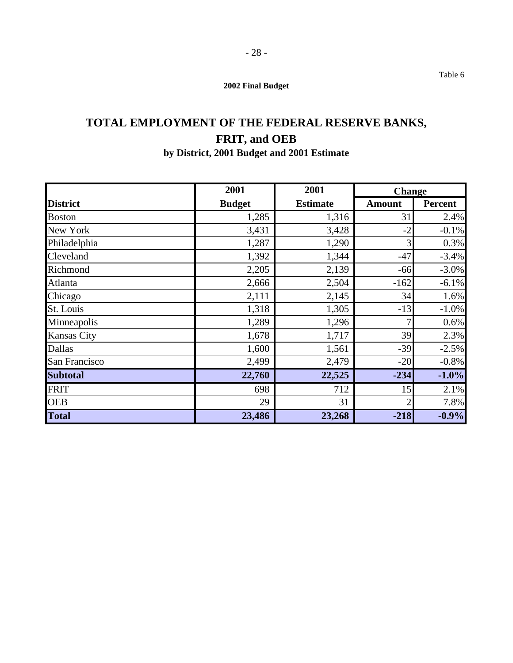## **TOTAL EMPLOYMENT OF THE FEDERAL RESERVE BANKS, FRIT, and OEB by District, 2001 Budget and 2001 Estimate**

|                    | 2001          | 2001            | <b>Change</b>  |                |
|--------------------|---------------|-----------------|----------------|----------------|
| <b>District</b>    | <b>Budget</b> | <b>Estimate</b> | <b>Amount</b>  | <b>Percent</b> |
| <b>Boston</b>      | 1,285         | 1,316           | 31             | 2.4%           |
| New York           | 3,431         | 3,428           | $-2$           | $-0.1%$        |
| Philadelphia       | 1,287         | 1,290           | 3              | 0.3%           |
| Cleveland          | 1,392         | 1,344           | $-47$          | $-3.4%$        |
| Richmond           | 2,205         | 2,139           | $-66$          | $-3.0\%$       |
| Atlanta            | 2,666         | 2,504           | $-162$         | $-6.1%$        |
| Chicago            | 2,111         | 2,145           | 34             | 1.6%           |
| St. Louis          | 1,318         | 1,305           | $-13$          | $-1.0%$        |
| Minneapolis        | 1,289         | 1,296           | 7              | 0.6%           |
| <b>Kansas City</b> | 1,678         | 1,717           | 39             | 2.3%           |
| Dallas             | 1,600         | 1,561           | $-39$          | $-2.5%$        |
| San Francisco      | 2,499         | 2,479           | $-20$          | $-0.8%$        |
| <b>Subtotal</b>    | 22,760        | 22,525          | $-234$         | $-1.0%$        |
| <b>FRIT</b>        | 698           | 712             | 15             | 2.1%           |
| <b>OEB</b>         | 29            | 31              | $\overline{2}$ | 7.8%           |
| <b>Total</b>       | 23,486        | 23,268          | $-218$         | $-0.9%$        |

Table 6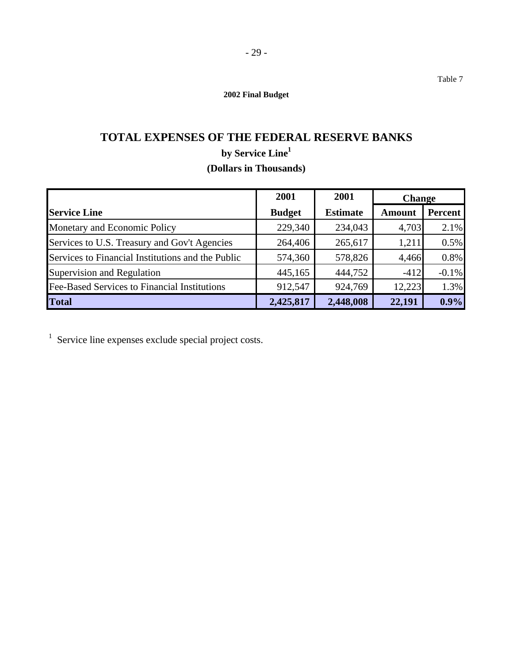## **TOTAL EXPENSES OF THE FEDERAL RESERVE BANKS by Service Line1 (Dollars in Thousands)**

|                                                   | 2001          | 2001            | <b>Change</b> |         |
|---------------------------------------------------|---------------|-----------------|---------------|---------|
| <b>Service Line</b>                               | <b>Budget</b> | <b>Estimate</b> | <b>Amount</b> | Percent |
| Monetary and Economic Policy                      | 229,340       | 234,043         | 4,703         | 2.1%    |
| Services to U.S. Treasury and Gov't Agencies      | 264,406       | 265,617         | 1,211         | 0.5%    |
| Services to Financial Institutions and the Public | 574,360       | 578,826         | 4,466         | 0.8%    |
| Supervision and Regulation                        | 445,165       | 444,752         | $-412$        | $-0.1%$ |
| Fee-Based Services to Financial Institutions      | 912,547       | 924,769         | 12,223        | 1.3%    |
| <b>Total</b>                                      | 2,425,817     | 2,448,008       | 22,191        | $0.9\%$ |

 $1$  Service line expenses exclude special project costs.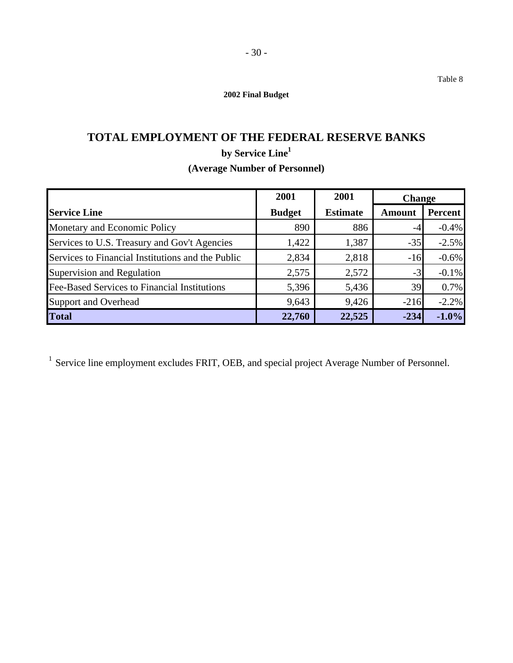## **TOTAL EMPLOYMENT OF THE FEDERAL RESERVE BANKS by Service Line1 (Average Number of Personnel)**

|                                                   | 2001          | 2001            | <b>Change</b> |         |
|---------------------------------------------------|---------------|-----------------|---------------|---------|
| <b>Service Line</b>                               | <b>Budget</b> | <b>Estimate</b> | <b>Amount</b> | Percent |
| Monetary and Economic Policy                      | 890           | 886             | -4            | $-0.4%$ |
| Services to U.S. Treasury and Gov't Agencies      | 1,422         | 1,387           | $-35$         | $-2.5%$ |
| Services to Financial Institutions and the Public | 2,834         | 2,818           | $-16$         | $-0.6%$ |
| Supervision and Regulation                        | 2,575         | 2,572           | $-3$          | $-0.1%$ |
| Fee-Based Services to Financial Institutions      | 5,396         | 5,436           | 39            | 0.7%    |
| <b>Support and Overhead</b>                       | 9,643         | 9,426           | $-216$        | $-2.2%$ |
| <b>Total</b>                                      | 22,760        | 22,525          | $-234$        | $-1.0%$ |

<sup>1</sup> Service line employment excludes FRIT, OEB, and special project Average Number of Personnel.

Table 8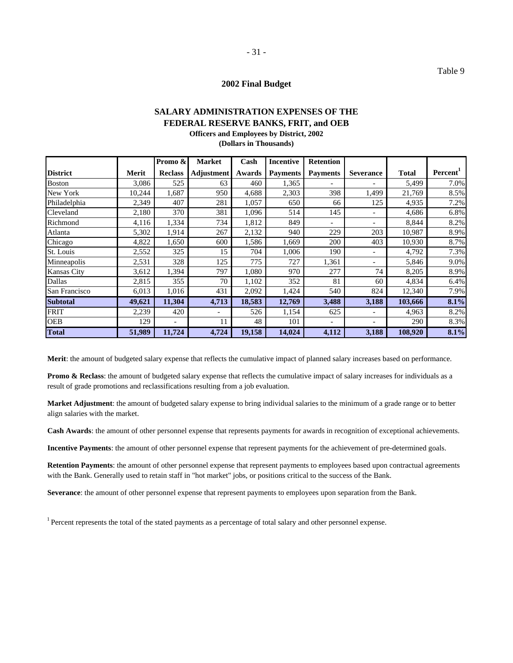## **SALARY ADMINISTRATION EXPENSES OF THE FEDERAL RESERVE BANKS, FRIT, and OEB Officers and Employees by District, 2002**

**(Dollars in Thousands)** 

|                    |        | Promo &                  | <b>Market</b>            | Cash   | <b>Incentive</b> | <b>Retention</b>         |                          |              |                      |
|--------------------|--------|--------------------------|--------------------------|--------|------------------|--------------------------|--------------------------|--------------|----------------------|
| <b>District</b>    | Merit  | <b>Reclass</b>           | <b>Adjustment</b>        | Awards | <b>Payments</b>  | <b>Payments</b>          | <b>Severance</b>         | <b>Total</b> | Percent <sup>1</sup> |
| <b>Boston</b>      | 3,086  | 525                      | 63                       | 460    | 1,365            |                          |                          | 5,499        | 7.0%                 |
| New York           | 10,244 | 1,687                    | 950                      | 4,688  | 2,303            | 398                      | 1,499                    | 21,769       | 8.5%                 |
| Philadelphia       | 2,349  | 407                      | 281                      | 1,057  | 650              | 66                       | 125                      | 4,935        | 7.2%                 |
| Cleveland          | 2,180  | 370                      | 381                      | 1,096  | 514              | 145                      | $\overline{\phantom{0}}$ | 4,686        | 6.8%                 |
| Richmond           | 4,116  | 1,334                    | 734                      | 1,812  | 849              | $\overline{\phantom{a}}$ | $\overline{\phantom{0}}$ | 8,844        | 8.2%                 |
| Atlanta            | 5,302  | 1,914                    | 267                      | 2,132  | 940              | 229                      | 203                      | 10,987       | 8.9%                 |
| Chicago            | 4,822  | 1,650                    | 600                      | 1,586  | 1,669            | 200                      | 403                      | 10,930       | 8.7%                 |
| St. Louis          | 2,552  | 325                      | 15                       | 704    | 1,006            | 190                      | $\qquad \qquad -$        | 4,792        | 7.3%                 |
| Minneapolis        | 2,531  | 328                      | 125                      | 775    | 727              | 1,361                    | $\overline{\phantom{0}}$ | 5,846        | 9.0%                 |
| <b>Kansas City</b> | 3,612  | 1,394                    | 797                      | 1,080  | 970              | 277                      | 74                       | 8,205        | 8.9%                 |
| Dallas             | 2,815  | 355                      | 70                       | 1,102  | 352              | 81                       | 60                       | 4,834        | 6.4%                 |
| San Francisco      | 6,013  | 1,016                    | 431                      | 2,092  | 1,424            | 540                      | 824                      | 12,340       | 7.9%                 |
| <b>Subtotal</b>    | 49,621 | 11,304                   | 4,713                    | 18,583 | 12,769           | 3,488                    | 3,188                    | 103,666      | 8.1%                 |
| <b>FRIT</b>        | 2,239  | 420                      | $\overline{\phantom{a}}$ | 526    | 1,154            | 625                      | $\overline{\phantom{a}}$ | 4,963        | 8.2%                 |
| <b>OEB</b>         | 129    | $\overline{\phantom{0}}$ | 11                       | 48     | 101              | $\overline{\phantom{a}}$ | $\overline{\phantom{a}}$ | 290          | 8.3%                 |
| <b>Total</b>       | 51,989 | 11,724                   | 4,724                    | 19,158 | 14,024           | 4,112                    | 3,188                    | 108,920      | 8.1%                 |

**Merit**: the amount of budgeted salary expense that reflects the cumulative impact of planned salary increases based on performance.

**Promo & Reclass**: the amount of budgeted salary expense that reflects the cumulative impact of salary increases for individuals as a result of grade promotions and reclassifications resulting from a job evaluation.

**Market Adjustment**: the amount of budgeted salary expense to bring individual salaries to the minimum of a grade range or to better align salaries with the market.

**Cash Awards**: the amount of other personnel expense that represents payments for awards in recognition of exceptional achievements.

**Incentive Payments**: the amount of other personnel expense that represent payments for the achievement of pre-determined goals.

**Retention Payments**: the amount of other personnel expense that represent payments to employees based upon contractual agreements with the Bank. Generally used to retain staff in "hot market" jobs, or positions critical to the success of the Bank.

**Severance**: the amount of other personnel expense that represent payments to employees upon separation from the Bank.

<sup>1</sup> Percent represents the total of the stated payments as a percentage of total salary and other personnel expense.

Table 9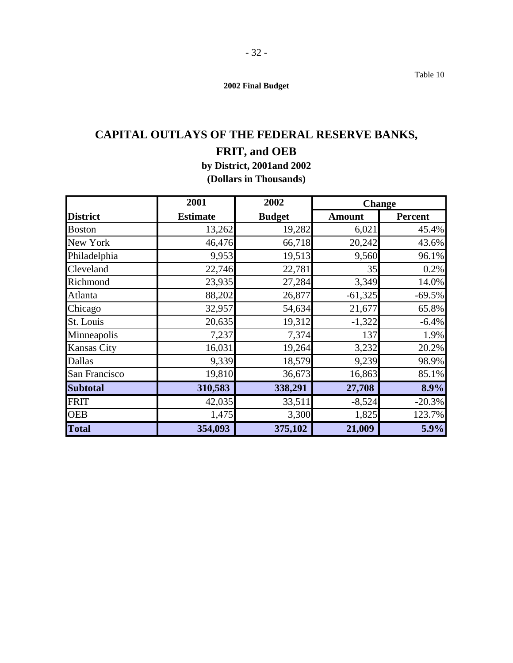Table 10

**2002 Final Budget** 

## **CAPITAL OUTLAYS OF THE FEDERAL RESERVE BANKS,**

## **FRIT, and OEB**

**by District, 2001and 2002 (Dollars in Thousands)** 

|                    | 2001            | 2002          | <b>Change</b> |          |  |
|--------------------|-----------------|---------------|---------------|----------|--|
| <b>District</b>    | <b>Estimate</b> | <b>Budget</b> | <b>Amount</b> | Percent  |  |
| <b>Boston</b>      | 13,262          | 19,282        | 6,021         | 45.4%    |  |
| New York           | 46,476          | 66,718        | 20,242        | 43.6%    |  |
| Philadelphia       | 9,953           | 19,513        | 9,560         | 96.1%    |  |
| Cleveland          | 22,746          | 22,781        | 35            | 0.2%     |  |
| Richmond           | 23,935          | 27,284        | 3,349         | 14.0%    |  |
| Atlanta            | 88,202          | 26,877        | $-61,325$     | $-69.5%$ |  |
| Chicago            | 32,957          | 54,634        | 21,677        | 65.8%    |  |
| St. Louis          | 20,635          | 19,312        | $-1,322$      | $-6.4%$  |  |
| Minneapolis        | 7,237           | 7,374         | 137           | 1.9%     |  |
| <b>Kansas City</b> | 16,031          | 19,264        | 3,232         | 20.2%    |  |
| Dallas             | 9,339           | 18,579        | 9,239         | 98.9%    |  |
| San Francisco      | 19,810          | 36,673        | 16,863        | 85.1%    |  |
| <b>Subtotal</b>    | 310,583         | 338,291       | 27,708        | 8.9%     |  |
| <b>FRIT</b>        | 42,035          | 33,511        | $-8,524$      | $-20.3%$ |  |
| <b>OEB</b>         | 1,475           | 3,300         | 1,825         | 123.7%   |  |
| <b>Total</b>       | 354,093         | 375,102       | 21,009        | 5.9%     |  |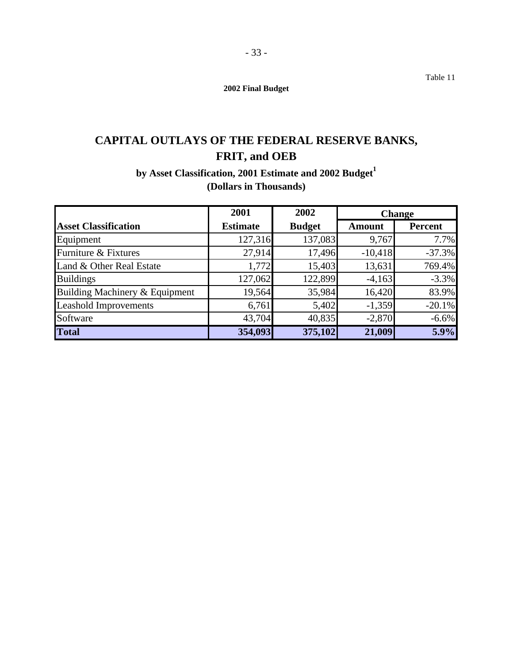Table 11

**2002 Final Budget** 

## **CAPITAL OUTLAYS OF THE FEDERAL RESERVE BANKS, FRIT, and OEB**

by Asset Classification, 2001 Estimate and 2002 Budget<sup>1</sup> **(Dollars in Thousands)** 

|                                | 2001            | 2002          | <b>Change</b> |                |
|--------------------------------|-----------------|---------------|---------------|----------------|
| <b>Asset Classification</b>    | <b>Estimate</b> | <b>Budget</b> | <b>Amount</b> | <b>Percent</b> |
| Equipment                      | 127,316         | 137,083       | 9,767         | 7.7%           |
| Furniture & Fixtures           | 27,914          | 17,496        | $-10,418$     | $-37.3%$       |
| Land & Other Real Estate       | 1,772           | 15,403        | 13,631        | 769.4%         |
| <b>Buildings</b>               | 127,062         | 122,899       | $-4,163$      | $-3.3%$        |
| Building Machinery & Equipment | 19,564          | 35,984        | 16,420        | 83.9%          |
| <b>Leashold Improvements</b>   | 6,761           | 5,402         | $-1,359$      | $-20.1%$       |
| Software                       | 43,704          | 40,835        | $-2,870$      | $-6.6%$        |
| <b>Total</b>                   | 354,093         | 375,102       | 21,009        | 5.9%           |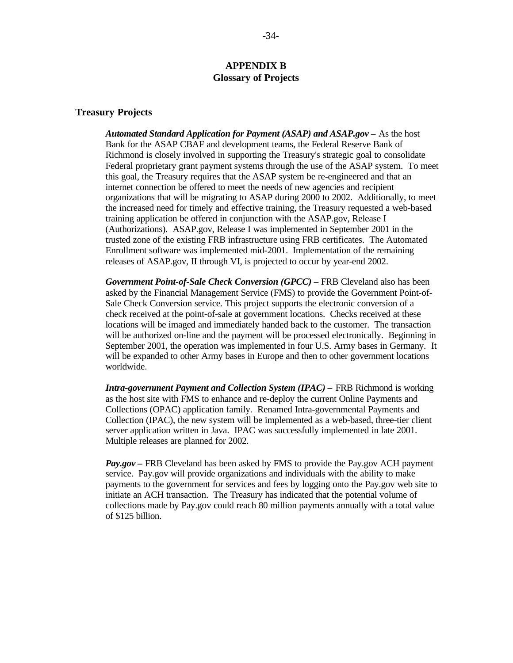## **APPENDIX B Glossary of Projects**

#### **Treasury Projects**

*Automated Standard Application for Payment (ASAP) and ASAP.gov –* As the host Bank for the ASAP CBAF and development teams, the Federal Reserve Bank of Richmond is closely involved in supporting the Treasury's strategic goal to consolidate Federal proprietary grant payment systems through the use of the ASAP system. To meet this goal, the Treasury requires that the ASAP system be re-engineered and that an internet connection be offered to meet the needs of new agencies and recipient organizations that will be migrating to ASAP during 2000 to 2002. Additionally, to meet the increased need for timely and effective training, the Treasury requested a web-based training application be offered in conjunction with the ASAP.gov, Release I (Authorizations). ASAP.gov, Release I was implemented in September 2001 in the trusted zone of the existing FRB infrastructure using FRB certificates. The Automated Enrollment software was implemented mid-2001. Implementation of the remaining releases of ASAP.gov, II through VI, is projected to occur by year-end 2002.

*Government Point-of-Sale Check Conversion (GPCC) –* FRB Cleveland also has been asked by the Financial Management Service (FMS) to provide the Government Point-of-Sale Check Conversion service. This project supports the electronic conversion of a check received at the point-of-sale at government locations. Checks received at these locations will be imaged and immediately handed back to the customer. The transaction will be authorized on-line and the payment will be processed electronically. Beginning in September 2001, the operation was implemented in four U.S. Army bases in Germany. It will be expanded to other Army bases in Europe and then to other government locations worldwide.

*Intra-government Payment and Collection System (IPAC) –* FRB Richmond is working as the host site with FMS to enhance and re-deploy the current Online Payments and Collections (OPAC) application family. Renamed Intra-governmental Payments and Collection (IPAC), the new system will be implemented as a web-based, three-tier client server application written in Java. IPAC was successfully implemented in late 2001. Multiple releases are planned for 2002.

*Pay.gov –* FRB Cleveland has been asked by FMS to provide the Pay.gov ACH payment service. Pay.gov will provide organizations and individuals with the ability to make payments to the government for services and fees by logging onto the Pay.gov web site to initiate an ACH transaction. The Treasury has indicated that the potential volume of collections made by Pay.gov could reach 80 million payments annually with a total value of \$125 billion.